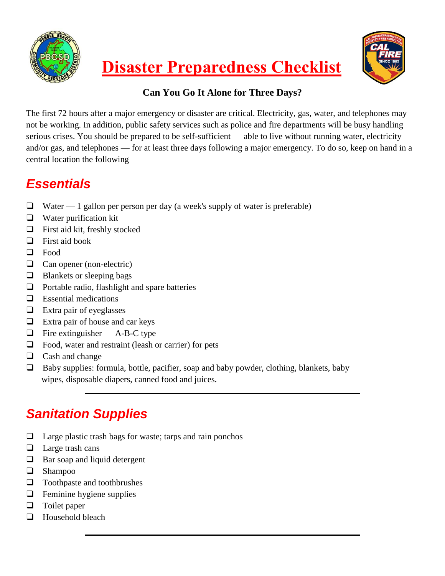



#### **Can You Go It Alone for Three Days?**

The first 72 hours after a major emergency or disaster are critical. Electricity, gas, water, and telephones may not be working. In addition, public safety services such as police and fire departments will be busy handling serious crises. You should be prepared to be self-sufficient — able to live without running water, electricity and/or gas, and telephones — for at least three days following a major emergency. To do so, keep on hand in a central location the following

#### *Essentials*

- $\Box$  Water 1 gallon per person per day (a week's supply of water is preferable)
- $\Box$  Water purification kit
- $\Box$  First aid kit, freshly stocked
- $\Box$  First aid book
- □ Food
- **Q** Can opener (non-electric)
- $\Box$  Blankets or sleeping bags
- $\Box$  Portable radio, flashlight and spare batteries
- $\Box$  Essential medications
- $\Box$  Extra pair of eyeglasses
- $\Box$  Extra pair of house and car keys
- $\Box$  Fire extinguisher A-B-C type
- $\Box$  Food, water and restraint (leash or carrier) for pets
- $\Box$  Cash and change
- $\Box$  Baby supplies: formula, bottle, pacifier, soap and baby powder, clothing, blankets, baby wipes, disposable diapers, canned food and juices.

# *Sanitation Supplies*

- $\Box$  Large plastic trash bags for waste; tarps and rain ponchos
- $\Box$  Large trash cans
- $\Box$  Bar soap and liquid detergent
- **Q** Shampoo
- □ Toothpaste and toothbrushes
- $\Box$  Feminine hygiene supplies
- $\Box$  Toilet paper
- $\Box$  Household bleach